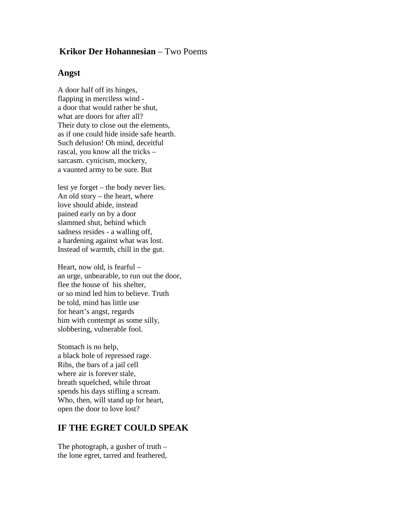## **Krikor Der Hohannesian** – Two Poems

## **Angst**

A door half off its hinges, flapping in merciless wind a door that would rather be shut, what are doors for after all? Their duty to close out the elements, as if one could hide inside safe hearth. Such delusion! Oh mind, deceitful rascal, you know all the tricks – sarcasm. cynicism, mockery, a vaunted army to be sure. But

lest ye forget – the body never lies. An old story – the heart, where love should abide, instead pained early on by a door slammed shut, behind which sadness resides - a walling off, a hardening against what was lost. Instead of warmth, chill in the gut.

Heart, now old, is fearful – an urge, unbearable, to run out the door, flee the house of his shelter, or so mind led him to believe. Truth be told, mind has little use for heart's angst, regards him with contempt as some silly, slobbering, vulnerable fool.

Stomach is no help, a black hole of repressed rage. Ribs, the bars of a jail cell where air is forever stale, breath squelched, while throat spends his days stifling a scream. Who, then, will stand up for heart, open the door to love lost?

## **IF THE EGRET COULD SPEAK**

The photograph, a gusher of truth – the lone egret, tarred and feathered,